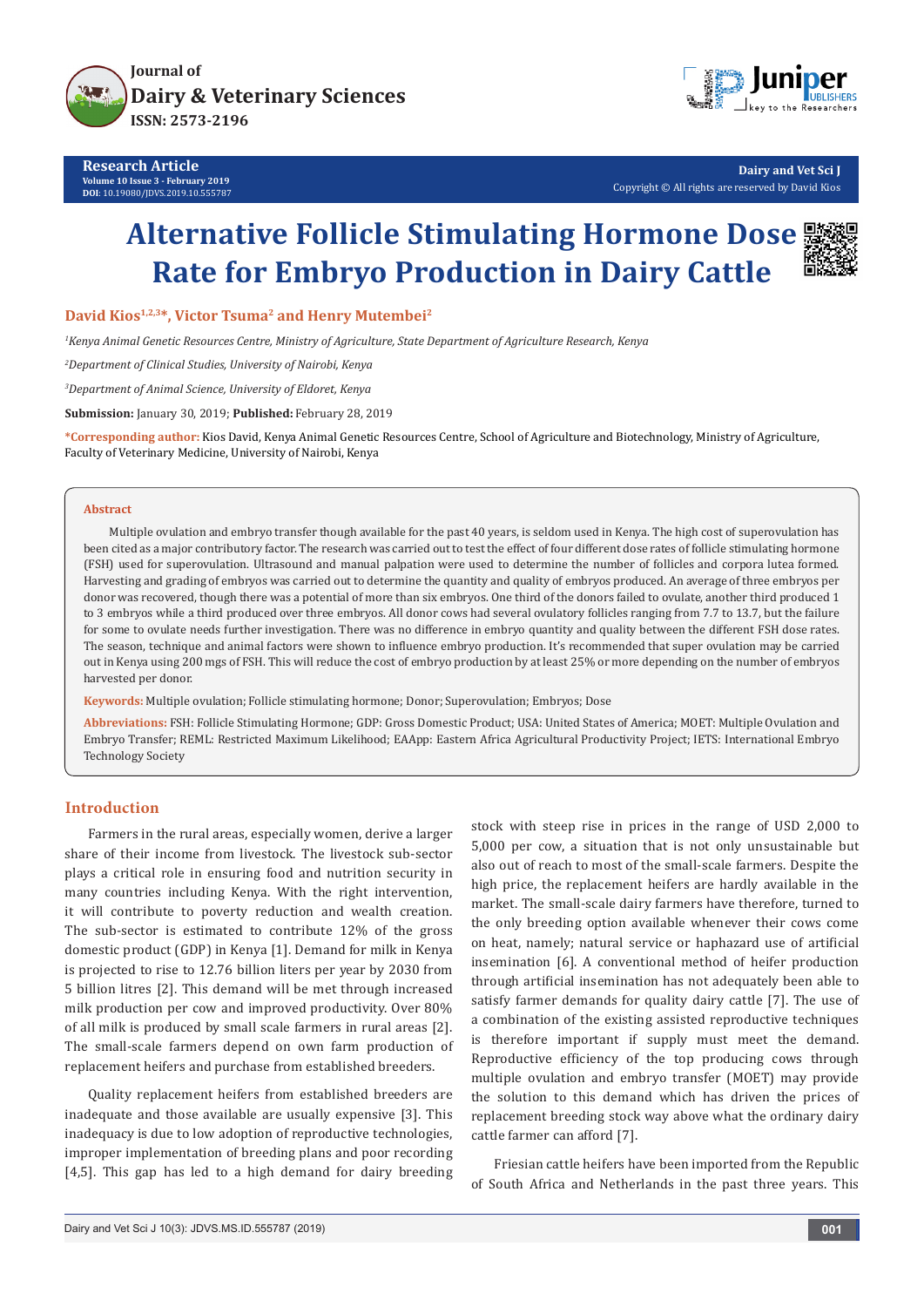

**Research Article Volume 10 Issue 3 - February 2019 DOI**: [10.19080/JDVS.2019.10.555787](http://dx.doi.org/10.19080/JDVS.2019.10.555787)



**Dairy and Vet Sci J** Copyright © All rights are reserved by David Kios

# **Alternative Follicle Stimulating Hormone Dose Rate for Embryo Production in Dairy Cattle**

**David Kios1,2,3\*, Victor Tsuma2 and Henry Mutembei2**

*1 Kenya Animal Genetic Resources Centre, Ministry of Agriculture, State Department of Agriculture Research, Kenya* 

*2 Department of Clinical Studies, University of Nairobi, Kenya* 

*3 Department of Animal Science, University of Eldoret, Kenya* 

**Submission:** January 30, 2019; **Published:** February 28, 2019

**\*Corresponding author:** Kios David, Kenya Animal Genetic Resources Centre, School of Agriculture and Biotechnology, Ministry of Agriculture, Faculty of Veterinary Medicine, University of Nairobi, Kenya

#### **Abstract**

 Multiple ovulation and embryo transfer though available for the past 40 years, is seldom used in Kenya. The high cost of superovulation has been cited as a major contributory factor. The research was carried out to test the effect of four different dose rates of follicle stimulating hormone (FSH) used for superovulation. Ultrasound and manual palpation were used to determine the number of follicles and corpora lutea formed. Harvesting and grading of embryos was carried out to determine the quantity and quality of embryos produced. An average of three embryos per donor was recovered, though there was a potential of more than six embryos. One third of the donors failed to ovulate, another third produced 1 to 3 embryos while a third produced over three embryos. All donor cows had several ovulatory follicles ranging from 7.7 to 13.7, but the failure for some to ovulate needs further investigation. There was no difference in embryo quantity and quality between the different FSH dose rates. The season, technique and animal factors were shown to influence embryo production. It's recommended that super ovulation may be carried out in Kenya using 200 mgs of FSH. This will reduce the cost of embryo production by at least 25% or more depending on the number of embryos harvested per donor.

**Keywords:** Multiple ovulation; Follicle stimulating hormone; Donor; Superovulation; Embryos; Dose

**Abbreviations:** FSH: Follicle Stimulating Hormone; GDP: Gross Domestic Product; USA: United States of America; MOET: Multiple Ovulation and Embryo Transfer; REML: Restricted Maximum Likelihood; EAApp: Eastern Africa Agricultural Productivity Project; IETS: International Embryo Technology Society

## **Introduction**

Farmers in the rural areas, especially women, derive a larger share of their income from livestock. The livestock sub-sector plays a critical role in ensuring food and nutrition security in many countries including Kenya. With the right intervention, it will contribute to poverty reduction and wealth creation. The sub-sector is estimated to contribute 12% of the gross domestic product (GDP) in Kenya [1]. Demand for milk in Kenya is projected to rise to 12.76 billion liters per year by 2030 from 5 billion litres [2]. This demand will be met through increased milk production per cow and improved productivity. Over 80% of all milk is produced by small scale farmers in rural areas [2]. The small-scale farmers depend on own farm production of replacement heifers and purchase from established breeders.

Quality replacement heifers from established breeders are inadequate and those available are usually expensive [3]. This inadequacy is due to low adoption of reproductive technologies, improper implementation of breeding plans and poor recording [4,5]. This gap has led to a high demand for dairy breeding stock with steep rise in prices in the range of USD 2,000 to 5,000 per cow, a situation that is not only unsustainable but also out of reach to most of the small-scale farmers. Despite the high price, the replacement heifers are hardly available in the market. The small-scale dairy farmers have therefore, turned to the only breeding option available whenever their cows come on heat, namely; natural service or haphazard use of artificial insemination [6]. A conventional method of heifer production through artificial insemination has not adequately been able to satisfy farmer demands for quality dairy cattle [7]. The use of a combination of the existing assisted reproductive techniques is therefore important if supply must meet the demand. Reproductive efficiency of the top producing cows through multiple ovulation and embryo transfer (MOET) may provide the solution to this demand which has driven the prices of replacement breeding stock way above what the ordinary dairy cattle farmer can afford [7].

Friesian cattle heifers have been imported from the Republic of South Africa and Netherlands in the past three years. This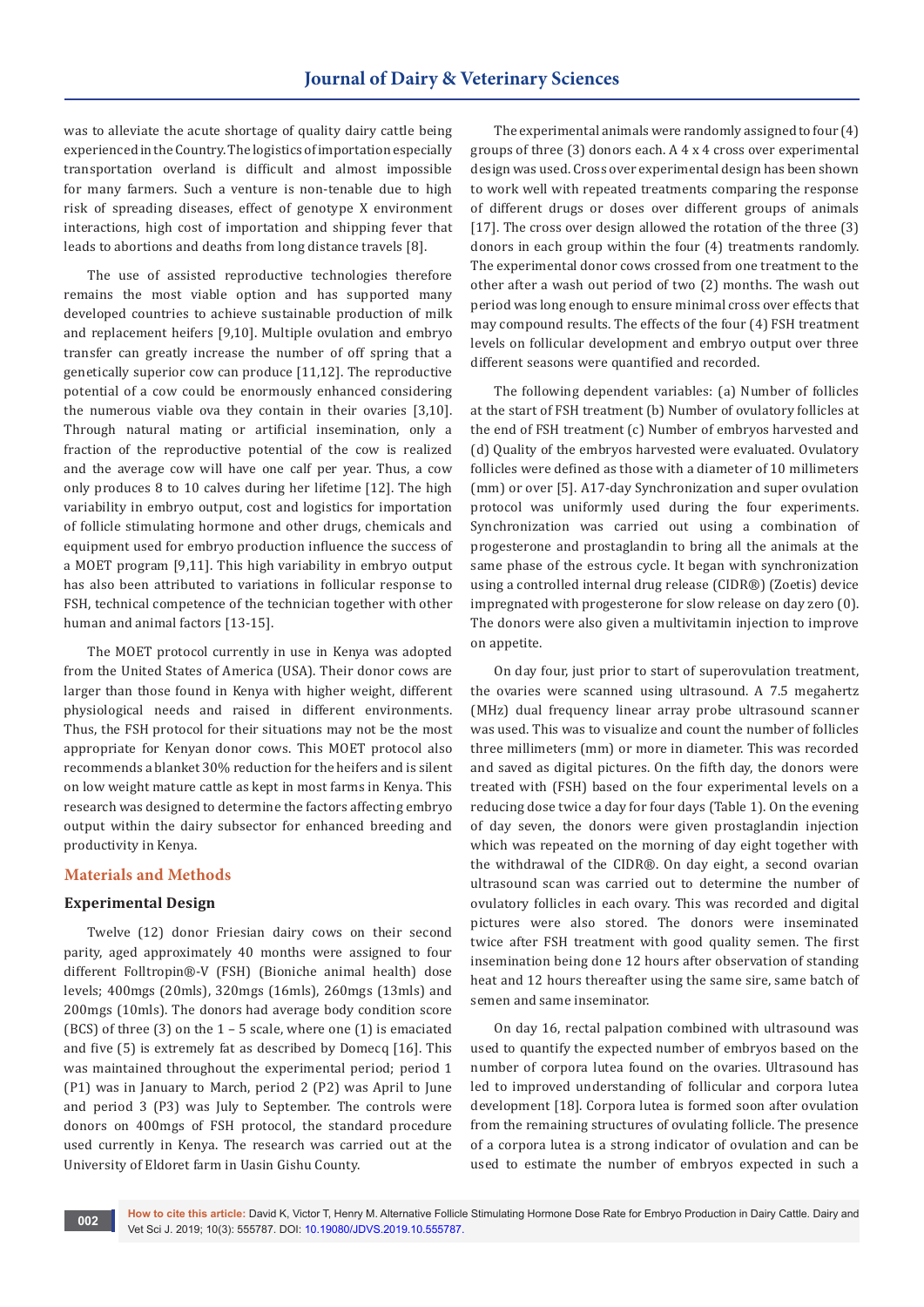was to alleviate the acute shortage of quality dairy cattle being experienced in the Country. The logistics of importation especially transportation overland is difficult and almost impossible for many farmers. Such a venture is non-tenable due to high risk of spreading diseases, effect of genotype X environment interactions, high cost of importation and shipping fever that leads to abortions and deaths from long distance travels [8].

The use of assisted reproductive technologies therefore remains the most viable option and has supported many developed countries to achieve sustainable production of milk and replacement heifers [9,10]. Multiple ovulation and embryo transfer can greatly increase the number of off spring that a genetically superior cow can produce [11,12]. The reproductive potential of a cow could be enormously enhanced considering the numerous viable ova they contain in their ovaries [3,10]. Through natural mating or artificial insemination, only a fraction of the reproductive potential of the cow is realized and the average cow will have one calf per year. Thus, a cow only produces 8 to 10 calves during her lifetime [12]. The high variability in embryo output, cost and logistics for importation of follicle stimulating hormone and other drugs, chemicals and equipment used for embryo production influence the success of a MOET program [9,11]. This high variability in embryo output has also been attributed to variations in follicular response to FSH, technical competence of the technician together with other human and animal factors [13-15].

The MOET protocol currently in use in Kenya was adopted from the United States of America (USA). Their donor cows are larger than those found in Kenya with higher weight, different physiological needs and raised in different environments. Thus, the FSH protocol for their situations may not be the most appropriate for Kenyan donor cows. This MOET protocol also recommends a blanket 30% reduction for the heifers and is silent on low weight mature cattle as kept in most farms in Kenya. This research was designed to determine the factors affecting embryo output within the dairy subsector for enhanced breeding and productivity in Kenya.

## **Materials and Methods**

#### **Experimental Design**

Twelve (12) donor Friesian dairy cows on their second parity, aged approximately 40 months were assigned to four different Folltropin®-V (FSH) (Bioniche animal health) dose levels; 400mgs (20mls), 320mgs (16mls), 260mgs (13mls) and 200mgs (10mls). The donors had average body condition score (BCS) of three (3) on the 1 – 5 scale, where one (1) is emaciated and five (5) is extremely fat as described by Domecq [16]. This was maintained throughout the experimental period; period 1 (P1) was in January to March, period 2 (P2) was April to June and period 3 (P3) was July to September. The controls were donors on 400mgs of FSH protocol, the standard procedure used currently in Kenya. The research was carried out at the University of Eldoret farm in Uasin Gishu County.

The experimental animals were randomly assigned to four (4) groups of three (3) donors each. A 4 x 4 cross over experimental design was used. Cross over experimental design has been shown to work well with repeated treatments comparing the response of different drugs or doses over different groups of animals [17]. The cross over design allowed the rotation of the three (3) donors in each group within the four (4) treatments randomly. The experimental donor cows crossed from one treatment to the other after a wash out period of two (2) months. The wash out period was long enough to ensure minimal cross over effects that may compound results. The effects of the four (4) FSH treatment levels on follicular development and embryo output over three different seasons were quantified and recorded.

The following dependent variables: (a) Number of follicles at the start of FSH treatment (b) Number of ovulatory follicles at the end of FSH treatment (c) Number of embryos harvested and (d) Quality of the embryos harvested were evaluated. Ovulatory follicles were defined as those with a diameter of 10 millimeters (mm) or over [5]. A17-day Synchronization and super ovulation protocol was uniformly used during the four experiments. Synchronization was carried out using a combination of progesterone and prostaglandin to bring all the animals at the same phase of the estrous cycle. It began with synchronization using a controlled internal drug release (CIDR®) (Zoetis) device impregnated with progesterone for slow release on day zero (0). The donors were also given a multivitamin injection to improve on appetite.

On day four, just prior to start of superovulation treatment, the ovaries were scanned using ultrasound. A 7.5 megahertz (MHz) dual frequency linear array probe ultrasound scanner was used. This was to visualize and count the number of follicles three millimeters (mm) or more in diameter. This was recorded and saved as digital pictures. On the fifth day, the donors were treated with (FSH) based on the four experimental levels on a reducing dose twice a day for four days (Table 1). On the evening of day seven, the donors were given prostaglandin injection which was repeated on the morning of day eight together with the withdrawal of the CIDR®. On day eight, a second ovarian ultrasound scan was carried out to determine the number of ovulatory follicles in each ovary. This was recorded and digital pictures were also stored. The donors were inseminated twice after FSH treatment with good quality semen. The first insemination being done 12 hours after observation of standing heat and 12 hours thereafter using the same sire, same batch of semen and same inseminator.

On day 16, rectal palpation combined with ultrasound was used to quantify the expected number of embryos based on the number of corpora lutea found on the ovaries. Ultrasound has led to improved understanding of follicular and corpora lutea development [18]. Corpora lutea is formed soon after ovulation from the remaining structures of ovulating follicle. The presence of a corpora lutea is a strong indicator of ovulation and can be used to estimate the number of embryos expected in such a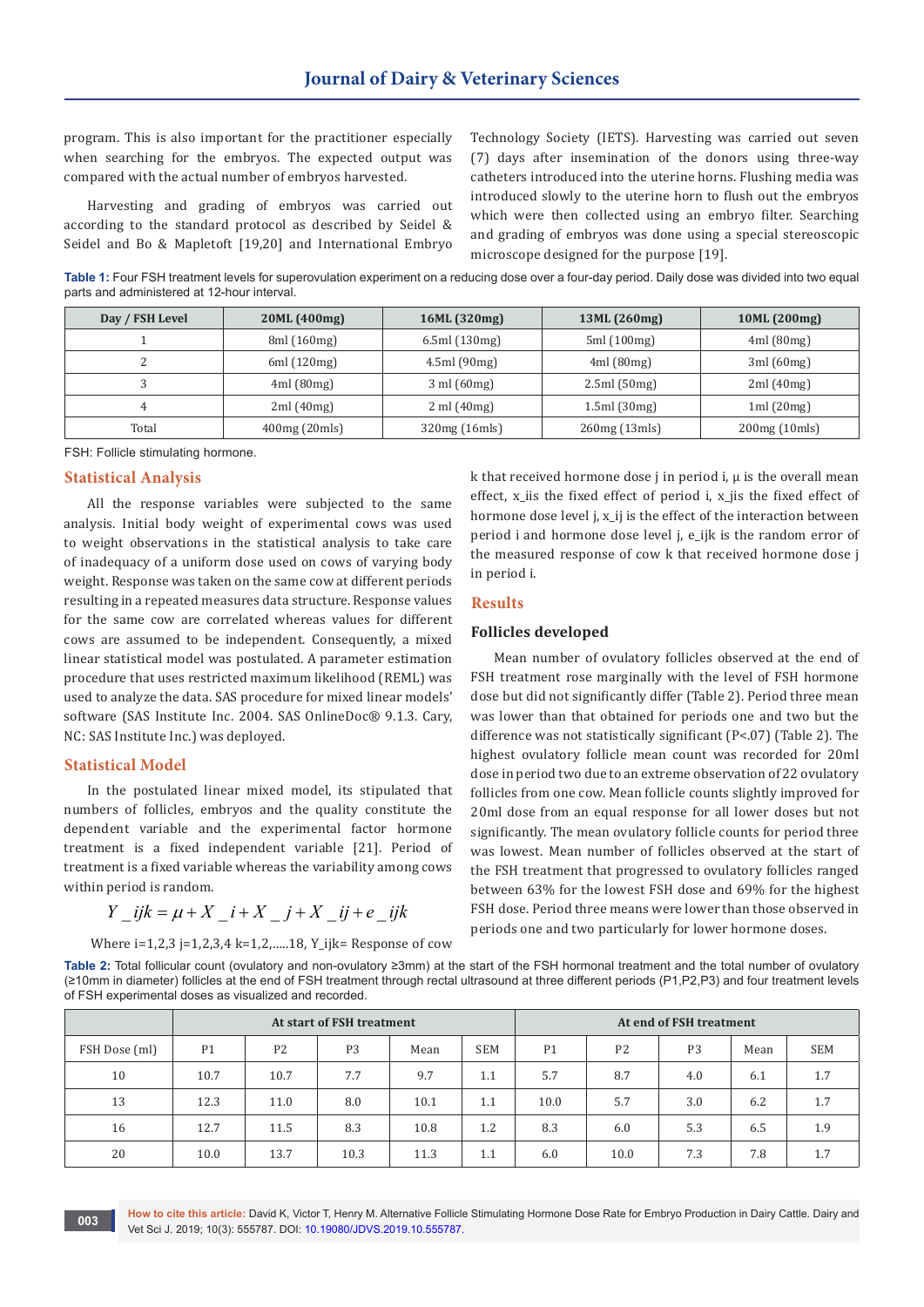program. This is also important for the practitioner especially when searching for the embryos. The expected output was compared with the actual number of embryos harvested.

Harvesting and grading of embryos was carried out according to the standard protocol as described by Seidel & Seidel and Bo & Mapletoft [19,20] and International Embryo

Technology Society (IETS). Harvesting was carried out seven (7) days after insemination of the donors using three-way catheters introduced into the uterine horns. Flushing media was introduced slowly to the uterine horn to flush out the embryos which were then collected using an embryo filter. Searching and grading of embryos was done using a special stereoscopic microscope designed for the purpose [19].

**Table 1:** Four FSH treatment levels for superovulation experiment on a reducing dose over a four-day period. Daily dose was divided into two equal parts and administered at 12-hour interval.

| Day / FSH Level | 20ML (400mg) | 16ML (320mg)                   | 13ML (260mg) | 10ML (200mg)  |  |  |
|-----------------|--------------|--------------------------------|--------------|---------------|--|--|
|                 | 8ml (160mg)  | 6.5ml(130mg)                   | 5ml (100mg)  | 4ml(80mg)     |  |  |
|                 | 6ml(120mg)   | 4.5ml(90mg)                    | 4ml(80mg)    | 3ml(60mg)     |  |  |
|                 | 4ml(80mg)    | $3 \text{ ml} (60 \text{ mg})$ | 2.5ml(50mg)  | 2ml(40mg)     |  |  |
| 4               | 2ml(40mg)    | $2 \text{ ml} (40 \text{ mg})$ | 1.5ml(30mg)  | 1ml(20mg)     |  |  |
| Total           | 400mg(20mls) |                                | 260mg(13mls) | 200mg (10mls) |  |  |

FSH: Follicle stimulating hormone.

## **Statistical Analysis**

All the response variables were subjected to the same analysis. Initial body weight of experimental cows was used to weight observations in the statistical analysis to take care of inadequacy of a uniform dose used on cows of varying body weight. Response was taken on the same cow at different periods resulting in a repeated measures data structure. Response values for the same cow are correlated whereas values for different cows are assumed to be independent. Consequently, a mixed linear statistical model was postulated. A parameter estimation procedure that uses restricted maximum likelihood (REML) was used to analyze the data. SAS procedure for mixed linear models' software (SAS Institute Inc. 2004. SAS OnlineDoc® 9.1.3. Cary, NC: SAS Institute Inc.) was deployed.

#### **Statistical Model**

In the postulated linear mixed model, its stipulated that numbers of follicles, embryos and the quality constitute the dependent variable and the experimental factor hormone treatment is a fixed independent variable [21]. Period of treatment is a fixed variable whereas the variability among cows within period is random.

$$
Y_{ii}ijk = \mu + X_{ii} + X_{jj} + X_{jj} + e_{jj}ik
$$

Where i=1,2,3 j=1,2,3,4 k=1,2,…..18, Y\_ijk= Response of cow

k that received hormone dose  $j$  in period  $i$ ,  $\mu$  is the overall mean effect, x\_iis the fixed effect of period i, x\_jis the fixed effect of hormone dose level j, x\_ij is the effect of the interaction between period i and hormone dose level j, e\_ijk is the random error of the measured response of cow k that received hormone dose j in period i.

## **Results**

## **Follicles developed**

Mean number of ovulatory follicles observed at the end of FSH treatment rose marginally with the level of FSH hormone dose but did not significantly differ (Table 2). Period three mean was lower than that obtained for periods one and two but the difference was not statistically significant (P<.07) (Table 2). The highest ovulatory follicle mean count was recorded for 20ml dose in period two due to an extreme observation of 22 ovulatory follicles from one cow. Mean follicle counts slightly improved for 20ml dose from an equal response for all lower doses but not significantly. The mean ovulatory follicle counts for period three was lowest. Mean number of follicles observed at the start of the FSH treatment that progressed to ovulatory follicles ranged between 63% for the lowest FSH dose and 69% for the highest FSH dose. Period three means were lower than those observed in periods one and two particularly for lower hormone doses.

**Table 2:** Total follicular count (ovulatory and non-ovulatory ≥3mm) at the start of the FSH hormonal treatment and the total number of ovulatory (≥10mm in diameter) follicles at the end of FSH treatment through rectal ultrasound at three different periods (P1,P2,P3) and four treatment levels of FSH experimental doses as visualized and recorded.

|               |                |                | At start of FSH treatment |      | At end of FSH treatment |                |                |                |      |            |
|---------------|----------------|----------------|---------------------------|------|-------------------------|----------------|----------------|----------------|------|------------|
| FSH Dose (ml) | P <sub>1</sub> | P <sub>2</sub> | P <sub>3</sub>            | Mean | <b>SEM</b>              | P <sub>1</sub> | P <sub>2</sub> | P <sub>3</sub> | Mean | <b>SEM</b> |
| 10            | 10.7           | 10.7           | 7.7                       | 9.7  | 1.1                     | 5.7            | 8.7            | 4.0            | 6.1  | 1.7        |
| 13            | 12.3           | 11.0           | 8.0                       | 10.1 | 1.1                     | 10.0           | 5.7            | 3.0            | 6.2  | 1.7        |
| 16            | 12.7           | 11.5           | 8.3                       | 10.8 | 1.2                     | 8.3            | 6.0            | 5.3            | 6.5  | 1.9        |
| 20            | 10.0           | 13.7           | 10.3                      | 11.3 | 1.1                     | 6.0            | 10.0           | 7.3            | 7.8  | 1.7        |

**How to cite this article:** David K, Victor T, Henry M. Alternative Follicle Stimulating Hormone Dose Rate for Embryo Production in Dairy Cattle. Dairy and **003 Vet Sci J. 2019; 10(3): 555787. DOI: [10.19080/JDVS.2019.10.555787.](http://dx.doi.org/10.19080/JDVS.2019.10.555787) 003**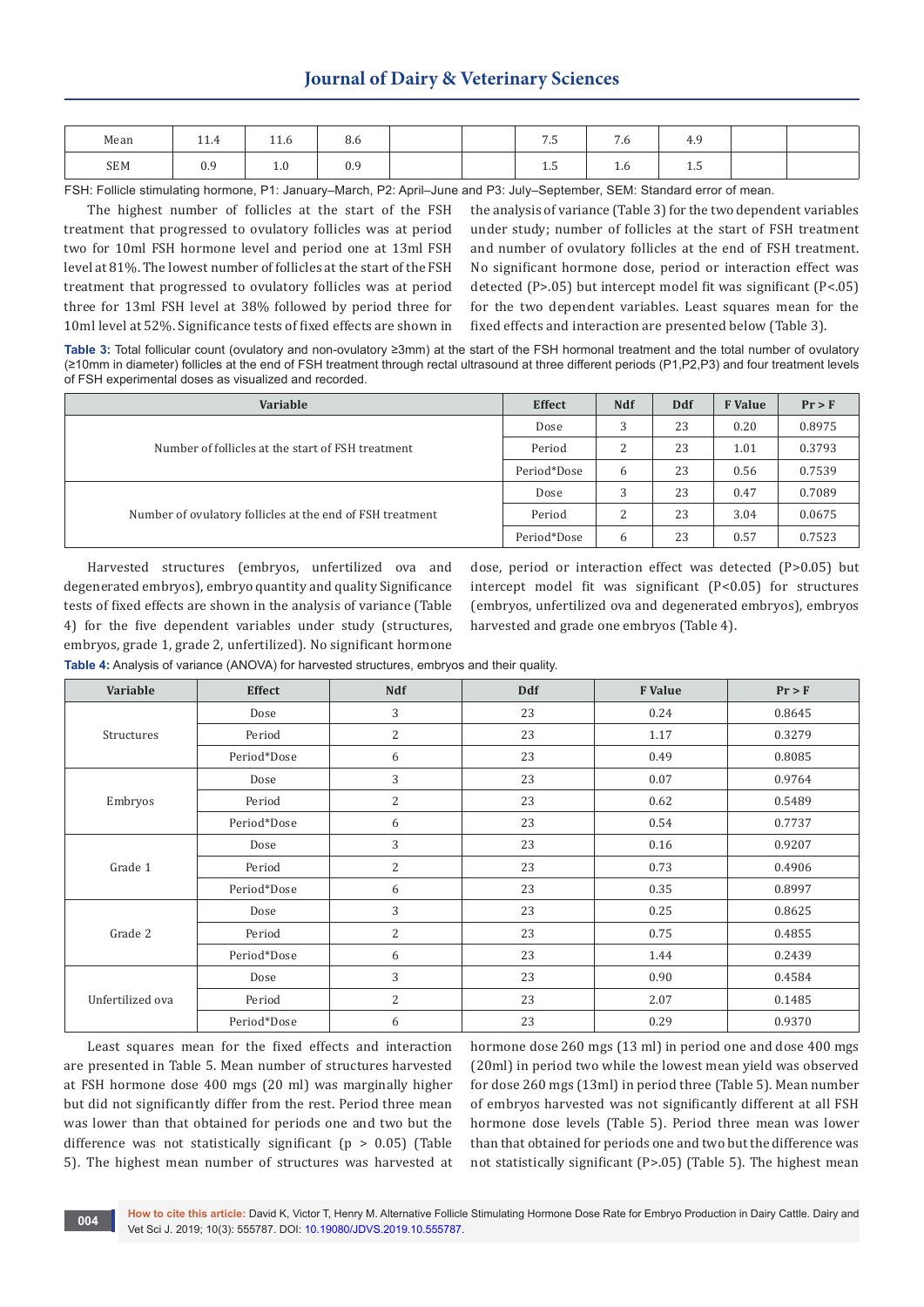# **Journal of Dairy & Veterinary Sciences**

| Mean | 11.7       | 11.0                          | 8.6 |  | -<br>ن. ،  | $\sim$<br>. . | 1.7        |  |
|------|------------|-------------------------------|-----|--|------------|---------------|------------|--|
| SEM  | ስ ር<br>U.7 | $\mathbf{r} \cdot \mathbf{r}$ | 0.9 |  | <b>1.J</b> | T.O           | <b>1.J</b> |  |

FSH: Follicle stimulating hormone, P1: January–March, P2: April–June and P3: July–September, SEM: Standard error of mean.

The highest number of follicles at the start of the FSH treatment that progressed to ovulatory follicles was at period two for 10ml FSH hormone level and period one at 13ml FSH level at 81%. The lowest number of follicles at the start of the FSH treatment that progressed to ovulatory follicles was at period three for 13ml FSH level at 38% followed by period three for 10ml level at 52%. Significance tests of fixed effects are shown in the analysis of variance (Table 3) for the two dependent variables under study; number of follicles at the start of FSH treatment and number of ovulatory follicles at the end of FSH treatment. No significant hormone dose, period or interaction effect was detected (P>.05) but intercept model fit was significant (P<.05) for the two dependent variables. Least squares mean for the fixed effects and interaction are presented below (Table 3).

**Table 3:** Total follicular count (ovulatory and non-ovulatory ≥3mm) at the start of the FSH hormonal treatment and the total number of ovulatory (≥10mm in diameter) follicles at the end of FSH treatment through rectal ultrasound at three different periods (P1,P2,P3) and four treatment levels of FSH experimental doses as visualized and recorded.

| Variable                                                  | <b>Effect</b> | <b>Ndf</b> | <b>Ddf</b> | <b>F</b> Value | Pr > F |
|-----------------------------------------------------------|---------------|------------|------------|----------------|--------|
|                                                           | Dose          | 3          | 23         | 0.20           | 0.8975 |
| Number of follicles at the start of FSH treatment         | Period        | ∍<br>∠     | 23         | 1.01           | 0.3793 |
|                                                           | Period*Dose   | b          | 23         | 0.56           | 0.7539 |
|                                                           | Dose          | 3          | 23         | 0.47           | 0.7089 |
| Number of ovulatory follicles at the end of FSH treatment | Period        | ∍          | 23         | 3.04           | 0.0675 |
|                                                           | Period*Dose   | b          | 23         | 0.57           | 0.7523 |

Harvested structures (embryos, unfertilized ova and degenerated embryos), embryo quantity and quality Significance tests of fixed effects are shown in the analysis of variance (Table 4) for the five dependent variables under study (structures, embryos, grade 1, grade 2, unfertilized). No significant hormone

dose, period or interaction effect was detected (P>0.05) but intercept model fit was significant (P<0.05) for structures (embryos, unfertilized ova and degenerated embryos), embryos harvested and grade one embryos (Table 4).

**Table 4:** Analysis of variance (ANOVA) for harvested structures, embryos and their quality.

| Variable         | <b>Effect</b> | <b>Ndf</b>     | <b>Ddf</b> | <b>F</b> Value | Pr > F |  |
|------------------|---------------|----------------|------------|----------------|--------|--|
|                  | Dose          | 3              | 23         | 0.24           | 0.8645 |  |
| Structures       | Period        | $\overline{2}$ | 23         | 1.17           | 0.3279 |  |
|                  | Period*Dose   | 6              | 23         | 0.49           | 0.8085 |  |
|                  | Dose          | 3              | 23         | 0.07           | 0.9764 |  |
| Embryos          | Period        | $\overline{2}$ | 23         | 0.62           | 0.5489 |  |
|                  | Period*Dose   | 6              | 23         | 0.54           | 0.7737 |  |
|                  | Dose          | 3              | 23         | 0.16           | 0.9207 |  |
| Grade 1          | Period        | $\overline{2}$ | 23         | 0.73           | 0.4906 |  |
|                  | Period*Dose   | 6              | 23         | 0.35           | 0.8997 |  |
|                  | Dose          | 3              | 23         | 0.25           | 0.8625 |  |
| Grade 2          | Period        | 2              | 23         | 0.75           | 0.4855 |  |
|                  | Period*Dose   | 6              | 23         | 1.44           | 0.2439 |  |
|                  | Dose          | 3              | 23         | 0.90           | 0.4584 |  |
| Unfertilized ova | Period        | $\overline{2}$ | 23         | 2.07           | 0.1485 |  |
|                  | Period*Dose   | 6              | 23         | 0.29           | 0.9370 |  |

Least squares mean for the fixed effects and interaction are presented in Table 5. Mean number of structures harvested at FSH hormone dose 400 mgs (20 ml) was marginally higher but did not significantly differ from the rest. Period three mean was lower than that obtained for periods one and two but the difference was not statistically significant (p > 0.05) (Table 5). The highest mean number of structures was harvested at

hormone dose 260 mgs (13 ml) in period one and dose 400 mgs (20ml) in period two while the lowest mean yield was observed for dose 260 mgs (13ml) in period three (Table 5). Mean number of embryos harvested was not significantly different at all FSH hormone dose levels (Table 5). Period three mean was lower than that obtained for periods one and two but the difference was not statistically significant (P>.05) (Table 5). The highest mean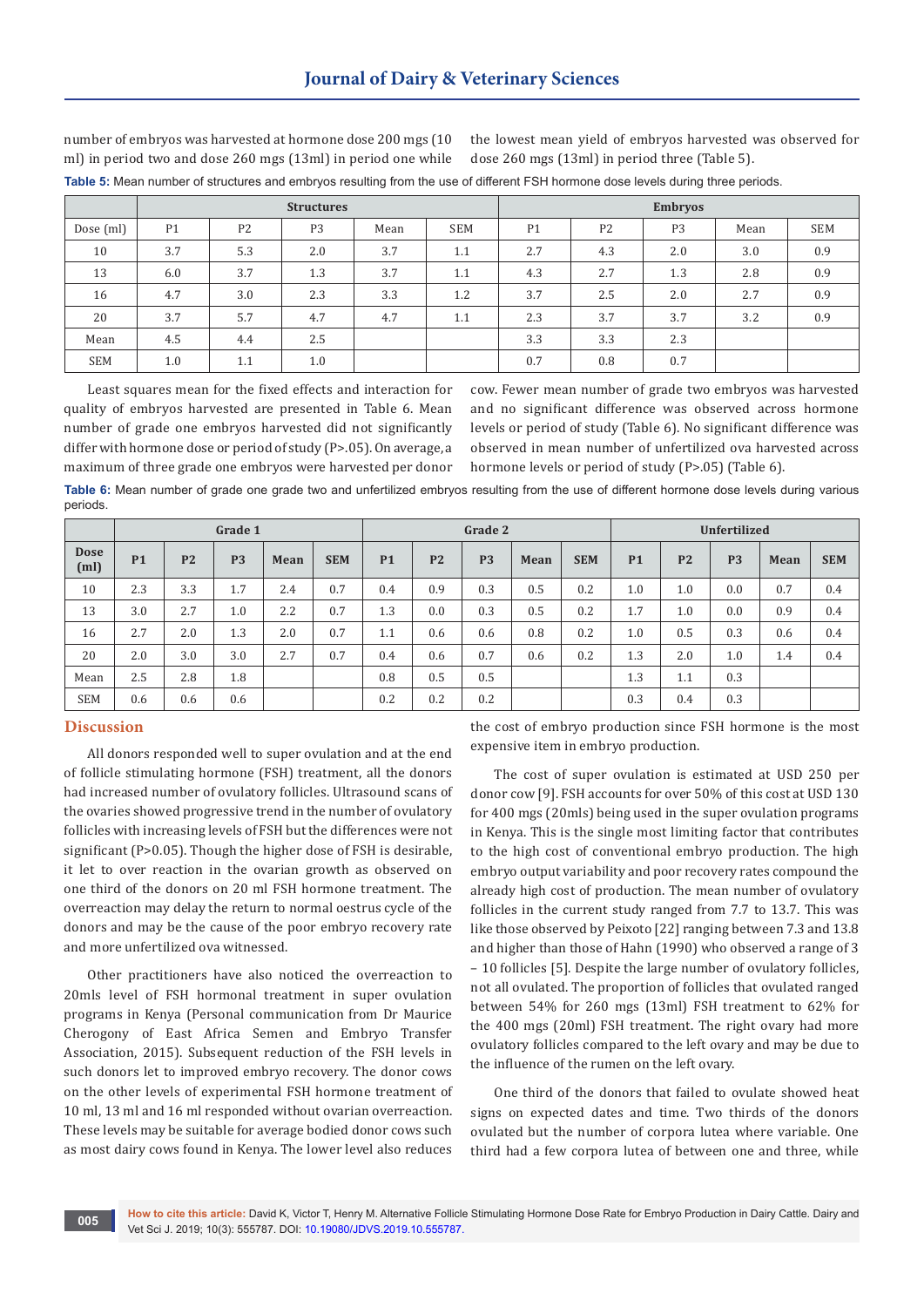|            |                |                | <b>Structures</b> |      | <b>Embryos</b> |                |                |                |      |            |
|------------|----------------|----------------|-------------------|------|----------------|----------------|----------------|----------------|------|------------|
| Dose (ml)  | P <sub>1</sub> | P <sub>2</sub> | P <sub>3</sub>    | Mean | <b>SEM</b>     | P <sub>1</sub> | P <sub>2</sub> | P <sub>3</sub> | Mean | <b>SEM</b> |
| 10         | 3.7            | 5.3            | 2.0               | 3.7  | 1.1            | 2.7            | 4.3            | 2.0            | 3.0  | 0.9        |
| 13         | 6.0            | 3.7            | 1.3               | 3.7  | 1.1            | 4.3            | 2.7            | 1.3            | 2.8  | 0.9        |
| 16         | 4.7            | 3.0            | 2.3               | 3.3  | 1.2            | 3.7            | 2.5            | 2.0            | 2.7  | 0.9        |
| 20         | 3.7            | 5.7            | 4.7               | 4.7  | 1.1            | 2.3            | 3.7            | 3.7            | 3.2  | 0.9        |
| Mean       | 4.5            | 4.4            | 2.5               |      |                | 3.3            | 3.3            | 2.3            |      |            |
| <b>SEM</b> | 1.0            | 1.1            | 1.0               |      |                | 0.7            | 0.8            | 0.7            |      |            |

number of embryos was harvested at hormone dose 200 mgs (10 ml) in period two and dose 260 mgs (13ml) in period one while

the lowest mean yield of embryos harvested was observed for dose 260 mgs (13ml) in period three (Table 5).

**Table 5:** Mean number of structures and embryos resulting from the use of different FSH hormone dose levels during three periods.

Least squares mean for the fixed effects and interaction for quality of embryos harvested are presented in Table 6. Mean number of grade one embryos harvested did not significantly differ with hormone dose or period of study (P>.05). On average, a maximum of three grade one embryos were harvested per donor

cow. Fewer mean number of grade two embryos was harvested and no significant difference was observed across hormone levels or period of study (Table 6). No significant difference was observed in mean number of unfertilized ova harvested across hormone levels or period of study (P>.05) (Table 6).

**Table 6:** Mean number of grade one grade two and unfertilized embryos resulting from the use of different hormone dose levels during various periods.

|                                  | Grade 1   |                |                |      |            | Grade 2   |                |                |      |            | Unfertilized |                |                |      |            |
|----------------------------------|-----------|----------------|----------------|------|------------|-----------|----------------|----------------|------|------------|--------------|----------------|----------------|------|------------|
| <b>Dose</b><br>(m <sub>l</sub> ) | <b>P1</b> | P <sub>2</sub> | P <sub>3</sub> | Mean | <b>SEM</b> | <b>P1</b> | P <sub>2</sub> | P <sub>3</sub> | Mean | <b>SEM</b> | <b>P1</b>    | P <sub>2</sub> | P <sub>3</sub> | Mean | <b>SEM</b> |
| 10                               | 2.3       | 3.3            | 1.7            | 2.4  | 0.7        | 0.4       | 0.9            | 0.3            | 0.5  | 0.2        | 1.0          | 1.0            | 0.0            | 0.7  | 0.4        |
| 13                               | 3.0       | 2.7            | 1.0            | 2.2  | 0.7        | 1.3       | 0.0            | 0.3            | 0.5  | 0.2        | 1.7          | 1.0            | 0.0            | 0.9  | 0.4        |
| 16                               | 2.7       | 2.0            | 1.3            | 2.0  | 0.7        | 1.1       | 0.6            | 0.6            | 0.8  | 0.2        | 1.0          | 0.5            | 0.3            | 0.6  | 0.4        |
| 20                               | 2.0       | 3.0            | 3.0            | 2.7  | 0.7        | 0.4       | 0.6            | 0.7            | 0.6  | 0.2        | 1.3          | 2.0            | 1.0            | 1.4  | 0.4        |
| Mean                             | 2.5       | 2.8            | 1.8            |      |            | 0.8       | 0.5            | 0.5            |      |            | 1.3          | $1.1\,$        | 0.3            |      |            |
| <b>SEM</b>                       | 0.6       | 0.6            | 0.6            |      |            | 0.2       | 0.2            | 0.2            |      |            | 0.3          | 0.4            | 0.3            |      |            |

## **Discussion**

All donors responded well to super ovulation and at the end of follicle stimulating hormone (FSH) treatment, all the donors had increased number of ovulatory follicles. Ultrasound scans of the ovaries showed progressive trend in the number of ovulatory follicles with increasing levels of FSH but the differences were not significant (P>0.05). Though the higher dose of FSH is desirable, it let to over reaction in the ovarian growth as observed on one third of the donors on 20 ml FSH hormone treatment. The overreaction may delay the return to normal oestrus cycle of the donors and may be the cause of the poor embryo recovery rate and more unfertilized ova witnessed.

Other practitioners have also noticed the overreaction to 20mls level of FSH hormonal treatment in super ovulation programs in Kenya (Personal communication from Dr Maurice Cherogony of East Africa Semen and Embryo Transfer Association, 2015). Subsequent reduction of the FSH levels in such donors let to improved embryo recovery. The donor cows on the other levels of experimental FSH hormone treatment of 10 ml, 13 ml and 16 ml responded without ovarian overreaction. These levels may be suitable for average bodied donor cows such as most dairy cows found in Kenya. The lower level also reduces

the cost of embryo production since FSH hormone is the most expensive item in embryo production.

The cost of super ovulation is estimated at USD 250 per donor cow [9]. FSH accounts for over 50% of this cost at USD 130 for 400 mgs (20mls) being used in the super ovulation programs in Kenya. This is the single most limiting factor that contributes to the high cost of conventional embryo production. The high embryo output variability and poor recovery rates compound the already high cost of production. The mean number of ovulatory follicles in the current study ranged from 7.7 to 13.7. This was like those observed by Peixoto [22] ranging between 7.3 and 13.8 and higher than those of Hahn (1990) who observed a range of 3 – 10 follicles [5]. Despite the large number of ovulatory follicles, not all ovulated. The proportion of follicles that ovulated ranged between 54% for 260 mgs (13ml) FSH treatment to 62% for the 400 mgs (20ml) FSH treatment. The right ovary had more ovulatory follicles compared to the left ovary and may be due to the influence of the rumen on the left ovary.

One third of the donors that failed to ovulate showed heat signs on expected dates and time. Two thirds of the donors ovulated but the number of corpora lutea where variable. One third had a few corpora lutea of between one and three, while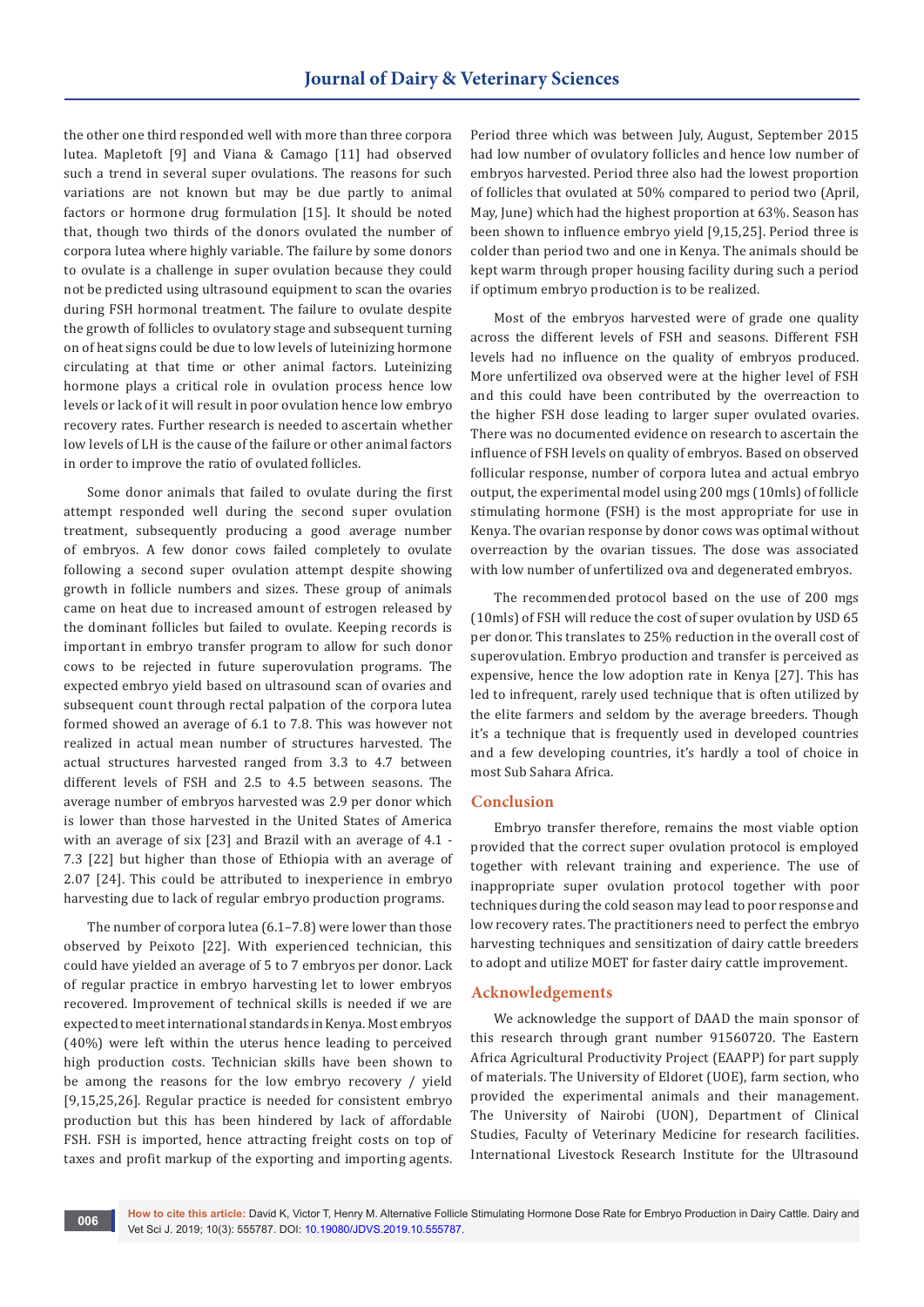the other one third responded well with more than three corpora lutea. Mapletoft [9] and Viana & Camago [11] had observed such a trend in several super ovulations. The reasons for such variations are not known but may be due partly to animal factors or hormone drug formulation [15]. It should be noted that, though two thirds of the donors ovulated the number of corpora lutea where highly variable. The failure by some donors to ovulate is a challenge in super ovulation because they could not be predicted using ultrasound equipment to scan the ovaries during FSH hormonal treatment. The failure to ovulate despite the growth of follicles to ovulatory stage and subsequent turning on of heat signs could be due to low levels of luteinizing hormone circulating at that time or other animal factors. Luteinizing hormone plays a critical role in ovulation process hence low levels or lack of it will result in poor ovulation hence low embryo recovery rates. Further research is needed to ascertain whether low levels of LH is the cause of the failure or other animal factors in order to improve the ratio of ovulated follicles.

Some donor animals that failed to ovulate during the first attempt responded well during the second super ovulation treatment, subsequently producing a good average number of embryos. A few donor cows failed completely to ovulate following a second super ovulation attempt despite showing growth in follicle numbers and sizes. These group of animals came on heat due to increased amount of estrogen released by the dominant follicles but failed to ovulate. Keeping records is important in embryo transfer program to allow for such donor cows to be rejected in future superovulation programs. The expected embryo yield based on ultrasound scan of ovaries and subsequent count through rectal palpation of the corpora lutea formed showed an average of 6.1 to 7.8. This was however not realized in actual mean number of structures harvested. The actual structures harvested ranged from 3.3 to 4.7 between different levels of FSH and 2.5 to 4.5 between seasons. The average number of embryos harvested was 2.9 per donor which is lower than those harvested in the United States of America with an average of six [23] and Brazil with an average of 4.1 - 7.3 [22] but higher than those of Ethiopia with an average of 2.07 [24]. This could be attributed to inexperience in embryo harvesting due to lack of regular embryo production programs.

The number of corpora lutea (6.1–7.8) were lower than those observed by Peixoto [22]. With experienced technician, this could have yielded an average of 5 to 7 embryos per donor. Lack of regular practice in embryo harvesting let to lower embryos recovered. Improvement of technical skills is needed if we are expected to meet international standards in Kenya. Most embryos (40%) were left within the uterus hence leading to perceived high production costs. Technician skills have been shown to be among the reasons for the low embryo recovery / yield [9,15,25,26]. Regular practice is needed for consistent embryo production but this has been hindered by lack of affordable FSH. FSH is imported, hence attracting freight costs on top of taxes and profit markup of the exporting and importing agents.

Period three which was between July, August, September 2015 had low number of ovulatory follicles and hence low number of embryos harvested. Period three also had the lowest proportion of follicles that ovulated at 50% compared to period two (April, May, June) which had the highest proportion at 63%. Season has been shown to influence embryo yield [9,15,25]. Period three is colder than period two and one in Kenya. The animals should be kept warm through proper housing facility during such a period if optimum embryo production is to be realized.

Most of the embryos harvested were of grade one quality across the different levels of FSH and seasons. Different FSH levels had no influence on the quality of embryos produced. More unfertilized ova observed were at the higher level of FSH and this could have been contributed by the overreaction to the higher FSH dose leading to larger super ovulated ovaries. There was no documented evidence on research to ascertain the influence of FSH levels on quality of embryos. Based on observed follicular response, number of corpora lutea and actual embryo output, the experimental model using 200 mgs (10mls) of follicle stimulating hormone (FSH) is the most appropriate for use in Kenya. The ovarian response by donor cows was optimal without overreaction by the ovarian tissues. The dose was associated with low number of unfertilized ova and degenerated embryos.

The recommended protocol based on the use of 200 mgs (10mls) of FSH will reduce the cost of super ovulation by USD 65 per donor. This translates to 25% reduction in the overall cost of superovulation. Embryo production and transfer is perceived as expensive, hence the low adoption rate in Kenya [27]. This has led to infrequent, rarely used technique that is often utilized by the elite farmers and seldom by the average breeders. Though it's a technique that is frequently used in developed countries and a few developing countries, it's hardly a tool of choice in most Sub Sahara Africa.

## **Conclusion**

Embryo transfer therefore, remains the most viable option provided that the correct super ovulation protocol is employed together with relevant training and experience. The use of inappropriate super ovulation protocol together with poor techniques during the cold season may lead to poor response and low recovery rates. The practitioners need to perfect the embryo harvesting techniques and sensitization of dairy cattle breeders to adopt and utilize MOET for faster dairy cattle improvement.

## **Acknowledgements**

We acknowledge the support of DAAD the main sponsor of this research through grant number 91560720. The Eastern Africa Agricultural Productivity Project (EAAPP) for part supply of materials. The University of Eldoret (UOE), farm section, who provided the experimental animals and their management. The University of Nairobi (UON), Department of Clinical Studies, Faculty of Veterinary Medicine for research facilities. International Livestock Research Institute for the Ultrasound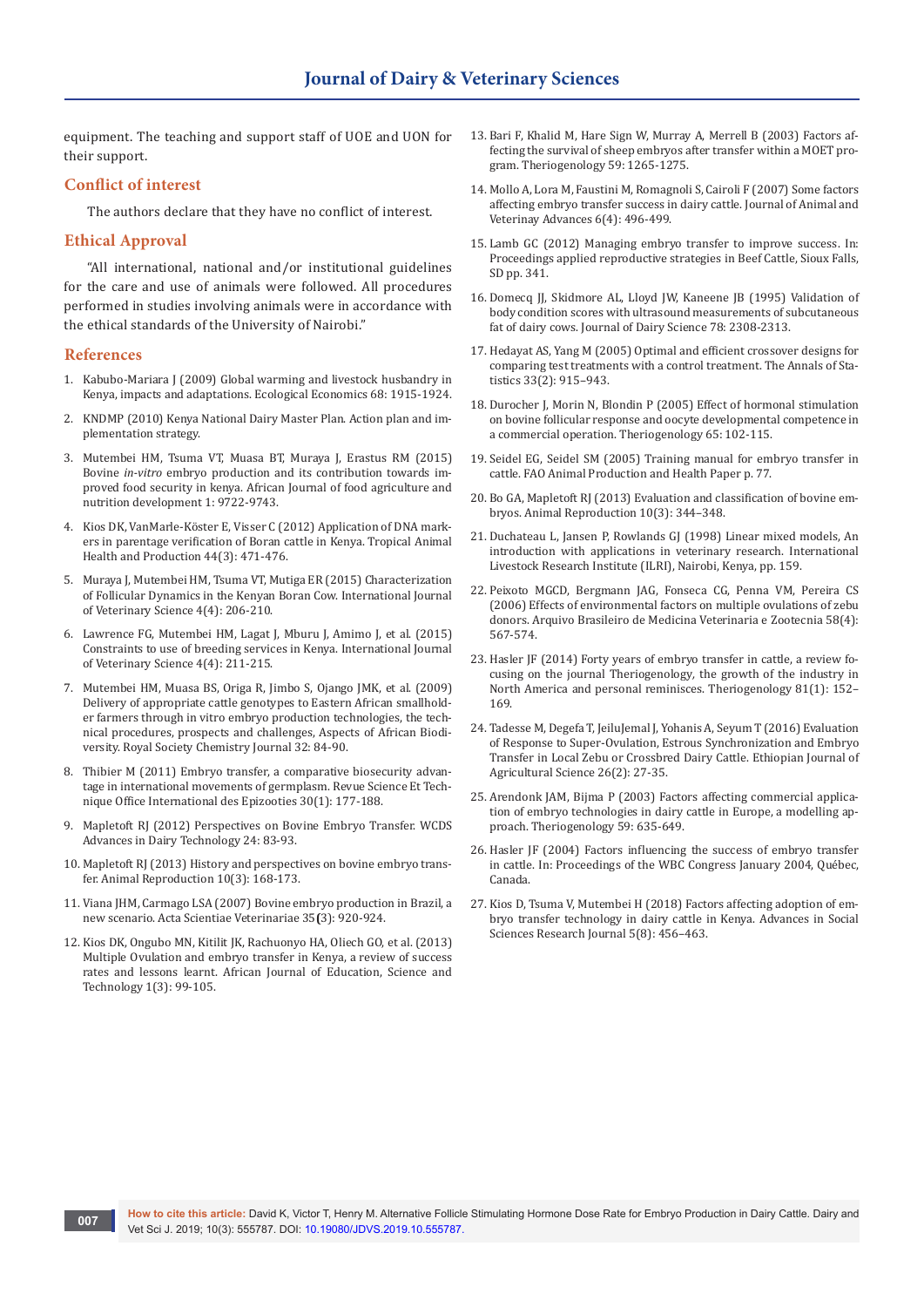equipment. The teaching and support staff of UOE and UON for their support.

## **Conflict of interest**

The authors declare that they have no conflict of interest.

### **Ethical Approval**

"All international, national and/or institutional guidelines for the care and use of animals were followed. All procedures performed in studies involving animals were in accordance with the ethical standards of the University of Nairobi."

#### **References**

- 1. [Kabubo-Mariara J \(2009\) Global warming and livestock husbandry in](https://www.sciencedirect.com/science/article/pii/S0921800909001086)  [Kenya, impacts and adaptations. Ecological Economics 68: 1915-1924.](https://www.sciencedirect.com/science/article/pii/S0921800909001086)
- 2. KNDMP (2010) Kenya National Dairy Master Plan. Action plan and implementation strategy.
- 3. [Mutembei HM, Tsuma VT, Muasa BT, Muraya J, Erastus RM \(2015\)](https://www.ajol.info/index.php/ajfand/article/view/113416)  Bovine *in-vitro* [embryo production and its contribution towards im](https://www.ajol.info/index.php/ajfand/article/view/113416)[proved food security in kenya. African Journal of food agriculture and](https://www.ajol.info/index.php/ajfand/article/view/113416)  [nutrition development 1: 9722-9743.](https://www.ajol.info/index.php/ajfand/article/view/113416)
- 4. Kios DK, VanMarle-Köster E, Visser C (2012) Application of DNA markers in parentage verification of Boran cattle in Kenya. Tropical Animal Health and Production 44([3](https://link.springer.com/journal/11250/44/3/page/1)): 471-476.
- 5. Muraya J, Mutembei HM, Tsuma VT, Mutiga ER (2015) Characterization of Follicular Dynamics in the Kenyan Boran Cow. International Journal of Veterinary Science 4(4): 206-210.
- 6. Lawrence FG, Mutembei HM, Lagat J, Mburu J, Amimo J, et al. (2015) Constraints to use of breeding services in Kenya. International Journal of Veterinary Science 4(4): 211-215.
- 7. Mutembei HM, Muasa BS, Origa R, Jimbo S, Ojango JMK, et al. (2009) Delivery of appropriate cattle genotypes to Eastern African smallholder farmers through in vitro embryo production technologies, the technical procedures, prospects and challenges, Aspects of African Biodiversity. Royal Society Chemistry Journal 32: 84-90.
- 8. Thibier M (2011) [Embryo transfer, a comparative biosecurity advan](https://www.ncbi.nlm.nih.gov/pubmed/21809763)[tage in international movements of germplasm. Revue Science Et Tech](https://www.ncbi.nlm.nih.gov/pubmed/21809763)[nique Office International des Epizooties 30\(1\): 177-188.](https://www.ncbi.nlm.nih.gov/pubmed/21809763)
- 9. Mapletoft RJ (2012) Perspectives on Bovine Embryo Transfer. WCDS Advances in Dairy Technology 24: 83-93.
- 10. [Mapletoft RJ \(2013\) History and perspectives on bovine embryo trans](http://www.cbra.org.br/pages/publicacoes/animalreproduction/issues/download/v10n3/p168-173%20(AR612).pdf)[fer. Animal Reproduction 10\(3\): 168-173.](http://www.cbra.org.br/pages/publicacoes/animalreproduction/issues/download/v10n3/p168-173%20(AR612).pdf)
- 11. Viana JHM, Carmago LSA (2007) Bovine embryo production in Brazil, a new scenario. Acta Scientiae Veterinariae 35**(**3): 920-924.
- 12. Kios DK, Ongubo MN, Kitilit JK, Rachuonyo HA, Oliech GO, et al. (2013) Multiple Ovulation and embryo transfer in Kenya, a review of success rates and lessons learnt. African Journal of Education, Science and Technology 1(3): 99-105.
- 13. [Bari F, Khalid M, Hare Sign W, Murray A, Merrell B \(2003\) Factors af](https://www.ncbi.nlm.nih.gov/pubmed/12527074)[fecting the survival of sheep embryos after transfer within a MOET pro](https://www.ncbi.nlm.nih.gov/pubmed/12527074)[gram. Theriogenology 59: 1265-1275.](https://www.ncbi.nlm.nih.gov/pubmed/12527074)
- 14. Mollo A, Lora M, Faustini M, Romagnoli S, Cairoli F (2007) Some factors affecting embryo transfer success in dairy cattle. Journal of Animal and Veterinay Advances 6(4): 496-499.
- 15. Lamb GC (2012) Managing embryo transfer to improve success. In: Proceedings applied reproductive strategies in Beef Cattle, Sioux Falls, SD pp. 341.
- 16. [Domecq JJ, Skidmore AL, Lloyd JW, Kaneene JB \(1995\) Validation of](https://www.ncbi.nlm.nih.gov/pubmed/8598414)  [body condition scores with ultrasound measurements of subcutaneous](https://www.ncbi.nlm.nih.gov/pubmed/8598414)  [fat of dairy cows. Journal of Dairy Science 78: 2308-2313.](https://www.ncbi.nlm.nih.gov/pubmed/8598414)
- 17. Hedayat AS, Yang M (2005) Optimal and efficient crossover designs for comparing test treatments with a control treatment. The Annals of Statistics 33(2): 915–943.
- 18. Durocher J, Morin N, Blondin P (2005) Effect of hormonal stimulation on bovine follicular response and oocyte developmental competence in a commercial operation. Theriogenology 65: 102-115.
- 19. Seidel EG, Seidel SM (2005) Training manual for embryo transfer in cattle. FAO Animal Production and Health Paper p. 77.
- 20. Bo GA, Mapletoft RJ (2013) Evaluation and classification of bovine embryos. Animal Reproduction 10(3): 344–348.
- 21. Duchateau L, Jansen P, Rowlands GJ (1998) Linear mixed models, An introduction with applications in veterinary research. International Livestock Research Institute (ILRI), Nairobi, Kenya, pp. 159.
- 22. [Peixoto MGCD, Bergmann JAG, Fonseca CG, Penna VM, Pereira CS](http://www.scielo.br/scielo.php?script=sci_arttext&pid=S0102-09352006000400019)  [\(2006\) Effects of environmental factors on multiple ovulations of zebu](http://www.scielo.br/scielo.php?script=sci_arttext&pid=S0102-09352006000400019)  [donors. Arquivo Brasileiro de Medicina Veterinaria e Zootecnia 58\(4\):](http://www.scielo.br/scielo.php?script=sci_arttext&pid=S0102-09352006000400019)  [567-574.](http://www.scielo.br/scielo.php?script=sci_arttext&pid=S0102-09352006000400019)
- 23. [Hasler JF \(2014\) Forty years of embryo transfer in cattle, a review fo](https://www.ncbi.nlm.nih.gov/pubmed/24274419)[cusing on the journal Theriogenology](https://www.ncbi.nlm.nih.gov/pubmed/24274419)*,* the growth of the industry in [North America and personal reminisces. Theriogenology 81\(1\):](https://www.ncbi.nlm.nih.gov/pubmed/24274419) 152– [169.](https://www.ncbi.nlm.nih.gov/pubmed/24274419)
- 24. [Tadesse M, Degefa T, JeiluJemal J, Yohanis A, Seyum T \(2016\) Evaluation](https://www.ajol.info/index.php/ejas/article/view/142802)  [of Response to Super-Ovulation, Estrous Synchronization and Embryo](https://www.ajol.info/index.php/ejas/article/view/142802)  [Transfer in Local Zebu or Crossbred Dairy Cattle. Ethiopian Journal of](https://www.ajol.info/index.php/ejas/article/view/142802)  [Agricultural Science 26\(2\): 27-35.](https://www.ajol.info/index.php/ejas/article/view/142802)
- 25. [Arendonk JAM, Bijma P \(2003\) Factors affecting commercial applica](https://www.ncbi.nlm.nih.gov/pubmed/12499009)[tion of embryo technologies in dairy cattle in Europe, a modelling ap](https://www.ncbi.nlm.nih.gov/pubmed/12499009)[proach. Theriogenology 59: 635-649.](https://www.ncbi.nlm.nih.gov/pubmed/12499009)
- 26. Hasler JF (2004) Factors influencing the success of embryo transfer in cattle. In: Proceedings of the WBC Congress January 2004, Québec, Canada.
- 27. Kios D, Tsuma V, Mutembei H (2018) Factors affecting adoption of embryo transfer technology in dairy cattle in Kenya. Advances in Social Sciences Research Journal 5(8): 456–463.